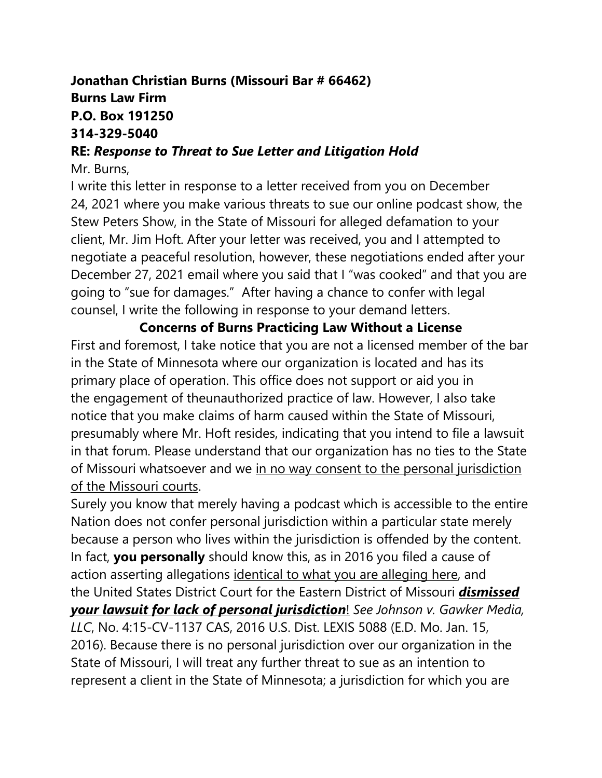## **Jonathan Christian Burns (Missouri Bar # 66462) Burns Law Firm P.O. Box 191250 314-329-5040**

### **RE:** *Response to Threat to Sue Letter and Litigation Hold*

#### Mr. Burns,

I write this letter in response to a letter received from you on December 24, 2021 where you make various threats to sue our online podcast show, the Stew Peters Show, in the State of Missouri for alleged defamation to your client, Mr. Jim Hoft. After your letter was received, you and I attempted to negotiate a peaceful resolution, however, these negotiations ended after your December 27, 2021 email where you said that I "was cooked" and that you are going to "sue for damages." After having a chance to confer with legal counsel, I write the following in response to your demand letters.

**Concerns of Burns Practicing Law Without a License** First and foremost, I take notice that you are not a licensed member of the bar in the State of Minnesota where our organization is located and has its primary place of operation. This office does not support or aid you in the engagement of theunauthorized practice of law. However, I also take notice that you make claims of harm caused within the State of Missouri, presumably where Mr. Hoft resides, indicating that you intend to file a lawsuit in that forum. Please understand that our organization has no ties to the State of Missouri whatsoever and we in no way consent to the personal jurisdiction of the Missouri courts.

Surely you know that merely having a podcast which is accessible to the entire Nation does not confer personal jurisdiction within a particular state merely because a person who lives within the jurisdiction is offended by the content. In fact, **you personally** should know this, as in 2016 you filed a cause of action asserting allegations identical to what you are alleging here, and the United States District Court for the Eastern District of Missouri *dismissed your lawsuit for lack of personal jurisdiction*! *See Johnson v. Gawker Media, LLC*, No. 4:15-CV-1137 CAS, 2016 U.S. Dist. LEXIS 5088 (E.D. Mo. Jan. 15, 2016). Because there is no personal jurisdiction over our organization in the State of Missouri, I will treat any further threat to sue as an intention to represent a client in the State of Minnesota; a jurisdiction for which you are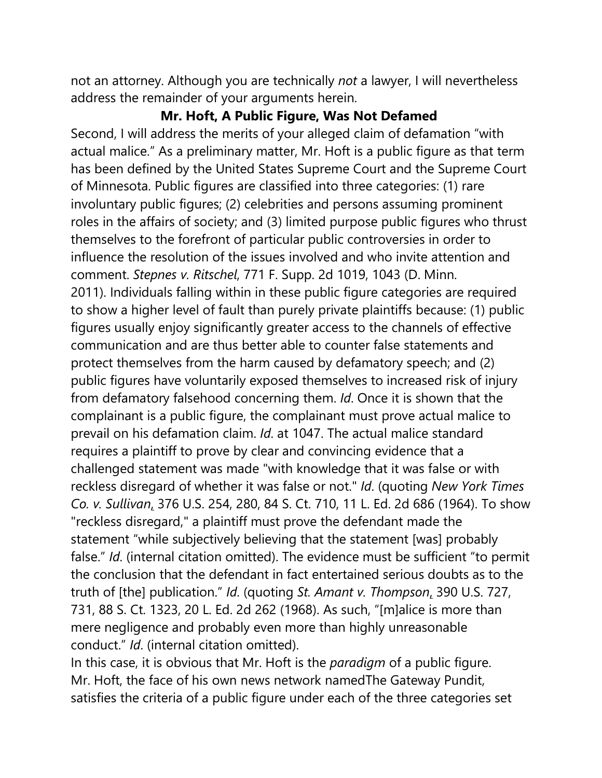not an attorney. Although you are technically *not* a lawyer, I will nevertheless address the remainder of your arguments herein.

# **Mr. Hoft, A Public Figure, Was Not Defamed**

Second, I will address the merits of your alleged claim of defamation "with actual malice." As a preliminary matter, Mr. Hoft is a public figure as that term has been defined by the United States Supreme Court and the Supreme Court of Minnesota. Public figures are classified into three categories: (1) rare involuntary public figures; (2) celebrities and persons assuming prominent roles in the affairs of society; and (3) limited purpose public figures who thrust themselves to the forefront of particular public controversies in order to influence the resolution of the issues involved and who invite attention and comment. *Stepnes v. Ritschel*, 771 F. Supp. 2d 1019, 1043 (D. Minn. 2011). Individuals falling within in these public figure categories are required to show a higher level of fault than purely private plaintiffs because: (1) public figures usually enjoy significantly greater access to the channels of effective communication and are thus better able to counter false statements and protect themselves from the harm caused by defamatory speech; and (2) public figures have voluntarily exposed themselves to increased risk of injury from defamatory falsehood concerning them. *Id*. Once it is shown that the complainant is a public figure, the complainant must prove actual malice to prevail on his defamation claim. *Id*. at 1047. The actual malice standard requires a plaintiff to prove by clear and convincing evidence that a challenged statement was made "with knowledge that it was false or with reckless disregard of whether it was false or not." *Id*. (quoting *New York Times Co. v. Sullivan*, 376 U.S. 254, 280, 84 S. Ct. 710, 11 L. Ed. 2d 686 (1964). To show "reckless disregard," a plaintiff must prove the defendant made the statement "while subjectively believing that the statement [was] probably false." *Id*. (internal citation omitted). The evidence must be sufficient "to permit the conclusion that the defendant in fact entertained serious doubts as to the truth of [the] publication." *Id*. (quoting *St. Amant v. Thompson*, 390 U.S. 727, 731, 88 S. Ct. 1323, 20 L. Ed. 2d 262 (1968). As such, "[m]alice is more than mere negligence and probably even more than highly unreasonable conduct." *Id*. (internal citation omitted).

In this case, it is obvious that Mr. Hoft is the *paradigm* of a public figure. Mr. Hoft, the face of his own news network namedThe Gateway Pundit, satisfies the criteria of a public figure under each of the three categories set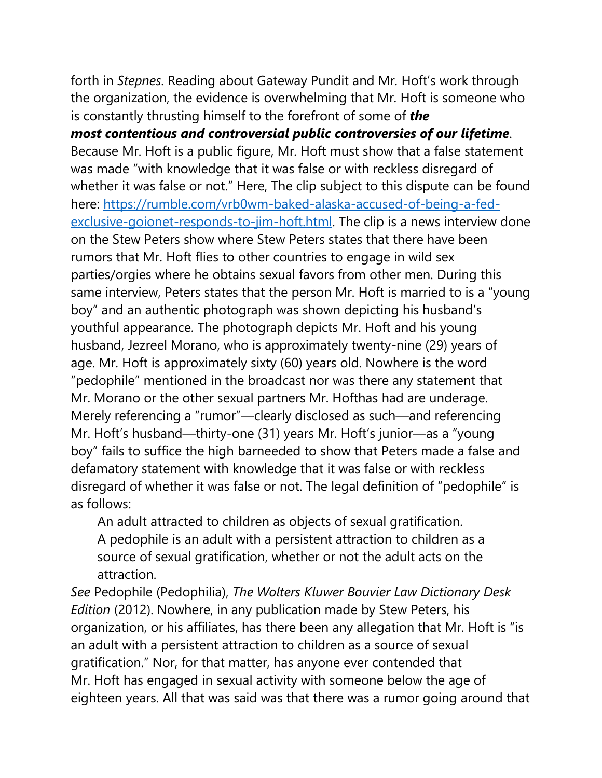forth in *Stepnes*. Reading about Gateway Pundit and Mr. Hoft's work through the organization, the evidence is overwhelming that Mr. Hoft is someone who is constantly thrusting himself to the forefront of some of *the* 

*most contentious and controversial public controversies of our lifetime*. Because Mr. Hoft is a public figure, Mr. Hoft must show that a false statement was made "with knowledge that it was false or with reckless disregard of whether it was false or not." Here, The clip subject to this dispute can be found here: [https://rumble.com/vrb0wm-baked-alaska-accused-of-being-a-fed](https://rumble.com/vrb0wm-baked-alaska-accused-of-being-a-fed-exclusive-goionet-responds-to-jim-hoft.html)[exclusive-goionet-responds-to-jim-hoft.html.](https://rumble.com/vrb0wm-baked-alaska-accused-of-being-a-fed-exclusive-goionet-responds-to-jim-hoft.html) The clip is a news interview done on the Stew Peters show where Stew Peters states that there have been rumors that Mr. Hoft flies to other countries to engage in wild sex parties/orgies where he obtains sexual favors from other men. During this same interview, Peters states that the person Mr. Hoft is married to is a "young boy" and an authentic photograph was shown depicting his husband's youthful appearance. The photograph depicts Mr. Hoft and his young husband, Jezreel Morano, who is approximately twenty-nine (29) years of age. Mr. Hoft is approximately sixty (60) years old. Nowhere is the word "pedophile" mentioned in the broadcast nor was there any statement that Mr. Morano or the other sexual partners Mr. Hofthas had are underage. Merely referencing a "rumor"—clearly disclosed as such—and referencing Mr. Hoft's husband—thirty-one (31) years Mr. Hoft's junior—as a "young boy" fails to suffice the high barneeded to show that Peters made a false and defamatory statement with knowledge that it was false or with reckless disregard of whether it was false or not. The legal definition of "pedophile" is as follows:

An adult attracted to children as objects of sexual gratification. A pedophile is an adult with a persistent attraction to children as a source of sexual gratification, whether or not the adult acts on the attraction.

*See* Pedophile (Pedophilia), *The Wolters Kluwer Bouvier Law Dictionary Desk Edition* (2012). Nowhere, in any publication made by Stew Peters, his organization, or his affiliates, has there been any allegation that Mr. Hoft is "is an adult with a persistent attraction to children as a source of sexual gratification." Nor, for that matter, has anyone ever contended that Mr. Hoft has engaged in sexual activity with someone below the age of eighteen years. All that was said was that there was a rumor going around that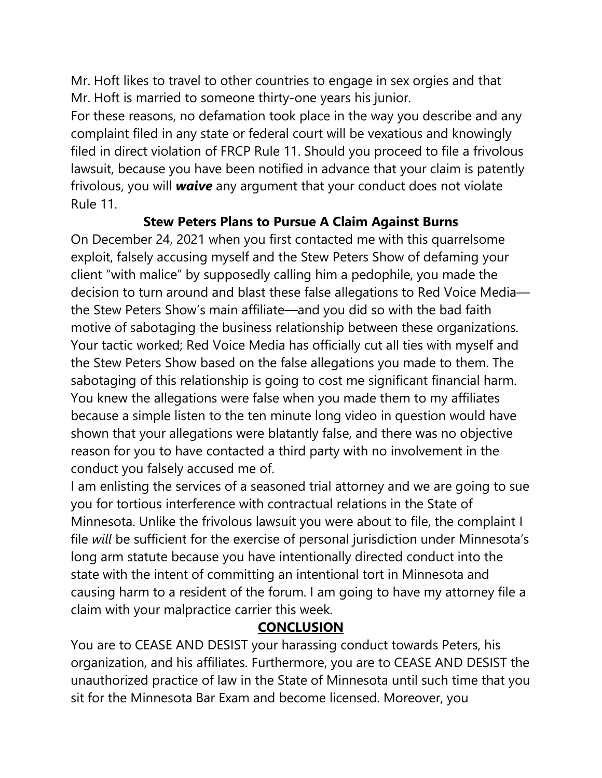Mr. Hoft likes to travel to other countries to engage in sex orgies and that Mr. Hoft is married to someone thirty-one years his junior.

For these reasons, no defamation took place in the way you describe and any complaint filed in any state or federal court will be vexatious and knowingly filed in direct violation of FRCP Rule 11. Should you proceed to file a frivolous lawsuit, because you have been notified in advance that your claim is patently frivolous, you will *waive* any argument that your conduct does not violate Rule 11.

**Stew Peters Plans to Pursue A Claim Against Burns**

On December 24, 2021 when you first contacted me with this quarrelsome exploit, falsely accusing myself and the Stew Peters Show of defaming your client "with malice" by supposedly calling him a pedophile, you made the decision to turn around and blast these false allegations to Red Voice Media the Stew Peters Show's main affiliate—and you did so with the bad faith motive of sabotaging the business relationship between these organizations. Your tactic worked; Red Voice Media has officially cut all ties with myself and the Stew Peters Show based on the false allegations you made to them. The sabotaging of this relationship is going to cost me significant financial harm. You knew the allegations were false when you made them to my affiliates because a simple listen to the ten minute long video in question would have shown that your allegations were blatantly false, and there was no objective reason for you to have contacted a third party with no involvement in the conduct you falsely accused me of.

I am enlisting the services of a seasoned trial attorney and we are going to sue you for tortious interference with contractual relations in the State of Minnesota. Unlike the frivolous lawsuit you were about to file, the complaint I file *will* be sufficient for the exercise of personal jurisdiction under Minnesota's long arm statute because you have intentionally directed conduct into the state with the intent of committing an intentional tort in Minnesota and causing harm to a resident of the forum. I am going to have my attorney file a claim with your malpractice carrier this week.

## **CONCLUSION**

You are to CEASE AND DESIST your harassing conduct towards Peters, his organization, and his affiliates. Furthermore, you are to CEASE AND DESIST the unauthorized practice of law in the State of Minnesota until such time that you sit for the Minnesota Bar Exam and become licensed. Moreover, you